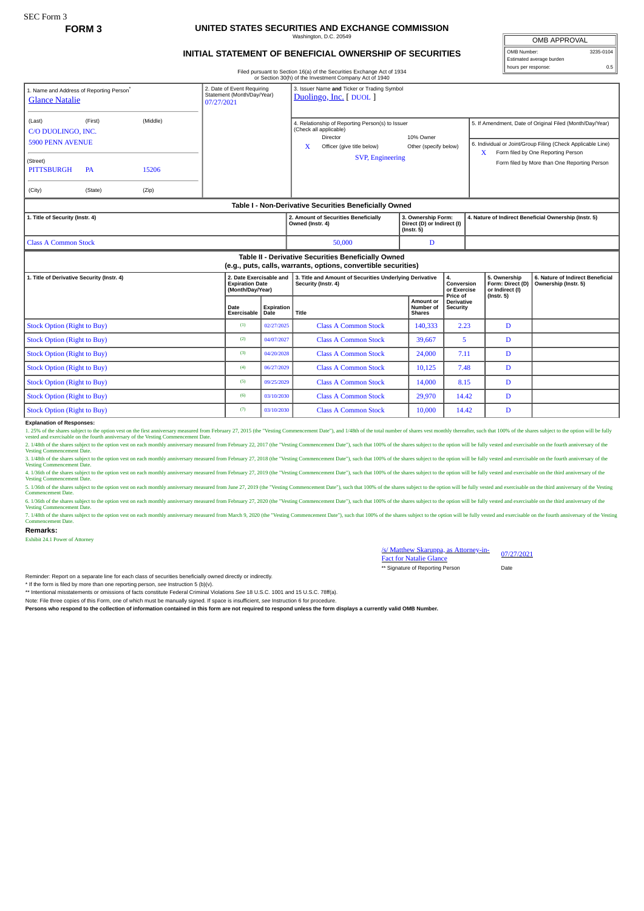#### **FORM 3 UNITED STATES SECURITIES AND EXCHANGE COMMISSION** Washington, D.C. 20549

# **INITIAL STATEMENT OF BENEFICIAL OWNERSHIP OF SECURITIES**

OMB APPROVAL OMB Number: 3235-0104 Estimated average burden hours per response: 0.5

Filed pursuant to Section 16(a) of the Securities Exchange Act of 1934

|                                                                                                                                                                     |  |  |  |                                                                       |                                                          | or Section 30(h) of the Investment Company Act of 1940                                                                                                                                     |                                         |                                                       |                                                                                                                                                                                                                    |                                                          |  |
|---------------------------------------------------------------------------------------------------------------------------------------------------------------------|--|--|--|-----------------------------------------------------------------------|----------------------------------------------------------|--------------------------------------------------------------------------------------------------------------------------------------------------------------------------------------------|-----------------------------------------|-------------------------------------------------------|--------------------------------------------------------------------------------------------------------------------------------------------------------------------------------------------------------------------|----------------------------------------------------------|--|
| 1. Name and Address of Reporting Person®<br><b>Glance Natalie</b><br>07/27/2021                                                                                     |  |  |  | 2. Date of Event Requiring<br>Statement (Month/Day/Year)              |                                                          | 3. Issuer Name and Ticker or Trading Symbol<br>Duolingo, Inc. [ DUOL ]                                                                                                                     |                                         |                                                       |                                                                                                                                                                                                                    |                                                          |  |
| (First)<br>(Middle)<br>(Last)<br>C/O DUOLINGO, INC.<br><b>5900 PENN AVENUE</b><br>(Street)<br>15206<br><b>PITTSBURGH</b><br><b>PA</b><br>(City)<br>(State)<br>(Zip) |  |  |  |                                                                       |                                                          | 4. Relationship of Reporting Person(s) to Issuer<br>(Check all applicable)<br>Director<br>10% Owner<br>X<br>Officer (give title below)<br>Other (specify below)<br><b>SVP, Engineering</b> |                                         |                                                       | 5. If Amendment, Date of Original Filed (Month/Day/Year)<br>6. Individual or Joint/Group Filing (Check Applicable Line)<br>Form filed by One Reporting Person<br>X<br>Form filed by More than One Reporting Person |                                                          |  |
| Table I - Non-Derivative Securities Beneficially Owned                                                                                                              |  |  |  |                                                                       |                                                          |                                                                                                                                                                                            |                                         |                                                       |                                                                                                                                                                                                                    |                                                          |  |
| 1. Title of Security (Instr. 4)                                                                                                                                     |  |  |  |                                                                       | 2. Amount of Securities Beneficially<br>Owned (Instr. 4) | 3. Ownership Form:<br>Direct (D) or Indirect (I)<br>$($ lnstr. 5 $)$                                                                                                                       |                                         | 4. Nature of Indirect Beneficial Ownership (Instr. 5) |                                                                                                                                                                                                                    |                                                          |  |
| <b>Class A Common Stock</b>                                                                                                                                         |  |  |  |                                                                       | 50,000                                                   | D                                                                                                                                                                                          |                                         |                                                       |                                                                                                                                                                                                                    |                                                          |  |
| Table II - Derivative Securities Beneficially Owned<br>(e.g., puts, calls, warrants, options, convertible securities)                                               |  |  |  |                                                                       |                                                          |                                                                                                                                                                                            |                                         |                                                       |                                                                                                                                                                                                                    |                                                          |  |
| 1. Title of Derivative Security (Instr. 4)                                                                                                                          |  |  |  | 2. Date Exercisable and<br><b>Expiration Date</b><br>(Month/Day/Year) |                                                          | 3. Title and Amount of Securities Underlying Derivative<br>Security (Instr. 4)                                                                                                             |                                         | 4.<br>Conversion<br>or Exercise                       | 5. Ownership<br>Form: Direct (D)<br>or Indirect (I)                                                                                                                                                                | 6. Nature of Indirect Beneficial<br>Ownership (Instr. 5) |  |
|                                                                                                                                                                     |  |  |  | Date<br>Exercisable                                                   | Expiration<br>Date                                       | Title                                                                                                                                                                                      | Amount or<br>Number of<br><b>Shares</b> | Price of<br><b>Derivative</b><br><b>Security</b>      | $($ Instr. 5 $)$                                                                                                                                                                                                   |                                                          |  |
| <b>Stock Option (Right to Buy)</b>                                                                                                                                  |  |  |  | (1)                                                                   | 02/27/2025                                               | <b>Class A Common Stock</b>                                                                                                                                                                | 140,333                                 | 2.23                                                  | D                                                                                                                                                                                                                  |                                                          |  |
| <b>Stock Option (Right to Buy)</b>                                                                                                                                  |  |  |  | (2)                                                                   | 04/07/2027                                               | <b>Class A Common Stock</b>                                                                                                                                                                | 39.667                                  | 5                                                     | D                                                                                                                                                                                                                  |                                                          |  |
| <b>Stock Option (Right to Buy)</b>                                                                                                                                  |  |  |  | (3)                                                                   | 04/20/2028                                               | <b>Class A Common Stock</b>                                                                                                                                                                | 24,000                                  | 7.11                                                  | D                                                                                                                                                                                                                  |                                                          |  |
| <b>Stock Option (Right to Buy)</b>                                                                                                                                  |  |  |  | (4)                                                                   | 06/27/2029                                               | <b>Class A Common Stock</b>                                                                                                                                                                | 10,125                                  | 7.48                                                  | D                                                                                                                                                                                                                  |                                                          |  |
| <b>Stock Option (Right to Buy)</b>                                                                                                                                  |  |  |  | (5)                                                                   | 09/25/2029                                               | <b>Class A Common Stock</b>                                                                                                                                                                | 14,000                                  | 8.15                                                  | D                                                                                                                                                                                                                  |                                                          |  |
| <b>Stock Option (Right to Buy)</b>                                                                                                                                  |  |  |  | (6)                                                                   | 03/10/2030                                               | <b>Class A Common Stock</b>                                                                                                                                                                | 29,970                                  | 14.42                                                 | D                                                                                                                                                                                                                  |                                                          |  |
| <b>Stock Option (Right to Buy)</b>                                                                                                                                  |  |  |  | (7)                                                                   | 03/10/2030                                               | <b>Class A Common Stock</b>                                                                                                                                                                | 10.000                                  | 14.42                                                 | D                                                                                                                                                                                                                  |                                                          |  |

## **Explanation of Responses:**

1. 25% of the shares subject to the option vest on the first amiversary measured from February 27, 2015 (the "Vesting Commencement Date"), and 1/48th of the total number of shares vest monthly thereafter, such that 100% of

2. 148th of the shares subject to the option vest on each monthly anniversary measured from February 22, 2017 (the "Vesting Commencement Date"), such that 100% of the shares subject to the option will be fully vested and e

3. J48th of the shares subject to the option vest on each monthly anniversary measured from February 27, 2018 (the "Vesting Commencement Date"), such that 100% of the shares subject to the option will be fully vested and e

4. 1/36th of the shares subject to the option vest on each monthly anniversary measured from February 27, 2019 (the "Vesting Commencement Date"), such that 100% of the shares subject to the option will be fully vested and

Vesting Commencement Date.<br>5. 176th of the shares subject to the option vest on each monthly anniversary measured from June 27, 2019 (the "Vesting Commencement Date"), such that 100% of the shares subject to the option wil

6. 176th of the shares subject to the option vest on each monthly anniversary measured from February 27, 2020 (the "Vesting Commencement Date"), such that 100% of the shares subject to the option will be fully vested and e

7. 1/48th of the shares subject to the option vest on each monthly anniversary measured from March 9, 2020 (the "Vesting Commencement Date"), such that 100% of the shares subject to the option will be fully vested and exer e ommer<br>ant Date

#### **Remarks:**

Exhibit 24.1 Power of Attorney

## /s/ Matthew Skaruppa, as Attorney-in-*Is/* Matthew Skaruppa, as Attorney-in-<br>Fact for Natalie Glance

\*\* Signature of Reporting Person Date

Reminder: Report on a separate line for each class of securities beneficially owned directly or indirectly.

\* If the form is filed by more than one reporting person, *see* Instruction 5 (b)(v).

\*\* Intentional misstatements or omissions of facts constitute Federal Criminal Violations *See* 18 U.S.C. 1001 and 15 U.S.C. 78ff(a).

Note: File three copies of this Form, one of which must be manually signed. If space is insufficient, *see* Instruction 6 for procedure.

**Persons who respond to the collection of information contained in this form are not required to respond unless the form displays a currently valid OMB Number.**